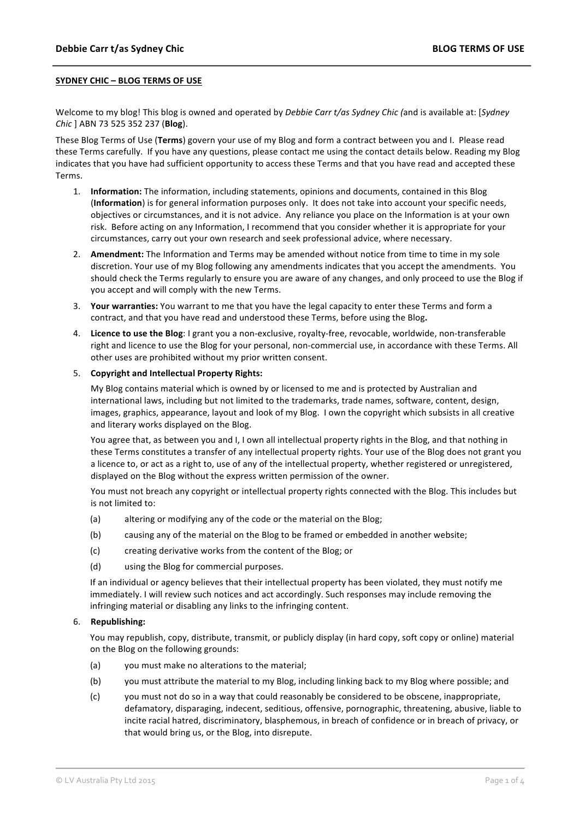## **SYDNEY CHIC – BLOG TERMS OF USE**

Welcome to my blog! This blog is owned and operated by *Debbie Carr t/as Sydney Chic (and is available at: [Sydney Chic* ] ABN 73 525 352 237 (**Blog**).

These Blog Terms of Use (Terms) govern your use of my Blog and form a contract between you and I. Please read these Terms carefully. If you have any questions, please contact me using the contact details below. Reading my Blog indicates that you have had sufficient opportunity to access these Terms and that you have read and accepted these Terms. 

- 1. **Information:** The information, including statements, opinions and documents, contained in this Blog (Information) is for general information purposes only. It does not take into account your specific needs, objectives or circumstances, and it is not advice. Any reliance you place on the Information is at your own risk. Before acting on any Information, I recommend that you consider whether it is appropriate for your circumstances, carry out your own research and seek professional advice, where necessary.
- 2. Amendment: The Information and Terms may be amended without notice from time to time in my sole discretion. Your use of my Blog following any amendments indicates that you accept the amendments. You should check the Terms regularly to ensure you are aware of any changes, and only proceed to use the Blog if you accept and will comply with the new Terms.
- 3. Your warranties: You warrant to me that you have the legal capacity to enter these Terms and form a contract, and that you have read and understood these Terms, before using the Blog.
- 4. Licence to use the Blog: I grant you a non-exclusive, royalty-free, revocable, worldwide, non-transferable right and licence to use the Blog for your personal, non-commercial use, in accordance with these Terms. All other uses are prohibited without my prior written consent.

#### 5. Copyright and Intellectual Property Rights:

My Blog contains material which is owned by or licensed to me and is protected by Australian and international laws, including but not limited to the trademarks, trade names, software, content, design, images, graphics, appearance, layout and look of my Blog. I own the copyright which subsists in all creative and literary works displayed on the Blog.

You agree that, as between you and I, I own all intellectual property rights in the Blog, and that nothing in these Terms constitutes a transfer of any intellectual property rights. Your use of the Blog does not grant you a licence to, or act as a right to, use of any of the intellectual property, whether registered or unregistered, displayed on the Blog without the express written permission of the owner.

You must not breach any copyright or intellectual property rights connected with the Blog. This includes but is not limited to:

- (a) altering or modifying any of the code or the material on the Blog;
- (b) causing any of the material on the Blog to be framed or embedded in another website;
- (c) creating derivative works from the content of the Blog; or
- (d) using the Blog for commercial purposes.

If an individual or agency believes that their intellectual property has been violated, they must notify me immediately. I will review such notices and act accordingly. Such responses may include removing the infringing material or disabling any links to the infringing content.

#### 6. **Republishing:**

You may republish, copy, distribute, transmit, or publicly display (in hard copy, soft copy or online) material on the Blog on the following grounds:

- (a) you must make no alterations to the material;
- (b) you must attribute the material to my Blog, including linking back to my Blog where possible; and
- (c) you must not do so in a way that could reasonably be considered to be obscene, inappropriate, defamatory, disparaging, indecent, seditious, offensive, pornographic, threatening, abusive, liable to incite racial hatred, discriminatory, blasphemous, in breach of confidence or in breach of privacy, or that would bring us, or the Blog, into disrepute.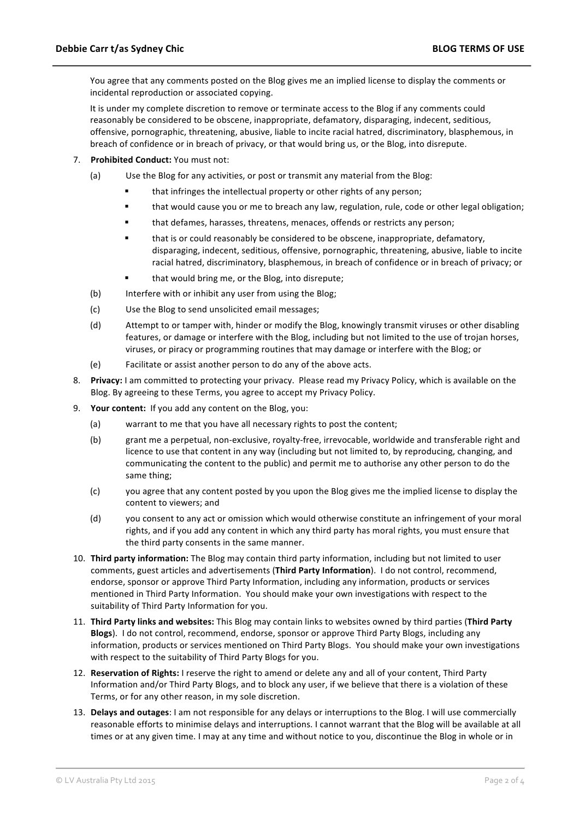You agree that any comments posted on the Blog gives me an implied license to display the comments or incidental reproduction or associated copying.

It is under my complete discretion to remove or terminate access to the Blog if any comments could reasonably be considered to be obscene, inappropriate, defamatory, disparaging, indecent, seditious, offensive, pornographic, threatening, abusive, liable to incite racial hatred, discriminatory, blasphemous, in breach of confidence or in breach of privacy, or that would bring us, or the Blog, into disrepute.

- 7. **Prohibited Conduct:** You must not:
	- (a) Use the Blog for any activities, or post or transmit any material from the Blog:
		- that infringes the intellectual property or other rights of any person;
		- ! that would cause you or me to breach any law, regulation, rule, code or other legal obligation;
		- " that defames, harasses, threatens, menaces, offends or restricts any person;
		- that is or could reasonably be considered to be obscene, inappropriate, defamatory, disparaging, indecent, seditious, offensive, pornographic, threatening, abusive, liable to incite racial hatred, discriminatory, blasphemous, in breach of confidence or in breach of privacy; or
		- that would bring me, or the Blog, into disrepute;
	- (b) Interfere with or inhibit any user from using the Blog;
	- (c) Use the Blog to send unsolicited email messages;
	- (d) Attempt to or tamper with, hinder or modify the Blog, knowingly transmit viruses or other disabling features, or damage or interfere with the Blog, including but not limited to the use of trojan horses, viruses, or piracy or programming routines that may damage or interfere with the Blog; or
	- (e) Facilitate or assist another person to do any of the above acts.
- 8. Privacy: I am committed to protecting your privacy. Please read my Privacy Policy, which is available on the Blog. By agreeing to these Terms, you agree to accept my Privacy Policy.
- 9. **Your content:** If you add any content on the Blog, you:
	- (a) warrant to me that you have all necessary rights to post the content;
	- (b) grant me a perpetual, non-exclusive, royalty-free, irrevocable, worldwide and transferable right and licence to use that content in any way (including but not limited to, by reproducing, changing, and communicating the content to the public) and permit me to authorise any other person to do the same thing;
	- (c) you agree that any content posted by you upon the Blog gives me the implied license to display the content to viewers; and
	- (d) you consent to any act or omission which would otherwise constitute an infringement of your moral rights, and if you add any content in which any third party has moral rights, you must ensure that the third party consents in the same manner.
- 10. **Third party information:** The Blog may contain third party information, including but not limited to user comments, guest articles and advertisements (Third Party Information). I do not control, recommend, endorse, sponsor or approve Third Party Information, including any information, products or services mentioned in Third Party Information. You should make your own investigations with respect to the suitability of Third Party Information for you.
- 11. Third Party links and websites: This Blog may contain links to websites owned by third parties (Third Party **Blogs**). I do not control, recommend, endorse, sponsor or approve Third Party Blogs, including any information, products or services mentioned on Third Party Blogs. You should make your own investigations with respect to the suitability of Third Party Blogs for you.
- 12. Reservation of Rights: I reserve the right to amend or delete any and all of your content, Third Party Information and/or Third Party Blogs, and to block any user, if we believe that there is a violation of these Terms, or for any other reason, in my sole discretion.
- 13. **Delays and outages**: I am not responsible for any delays or interruptions to the Blog. I will use commercially reasonable efforts to minimise delays and interruptions. I cannot warrant that the Blog will be available at all times or at any given time. I may at any time and without notice to you, discontinue the Blog in whole or in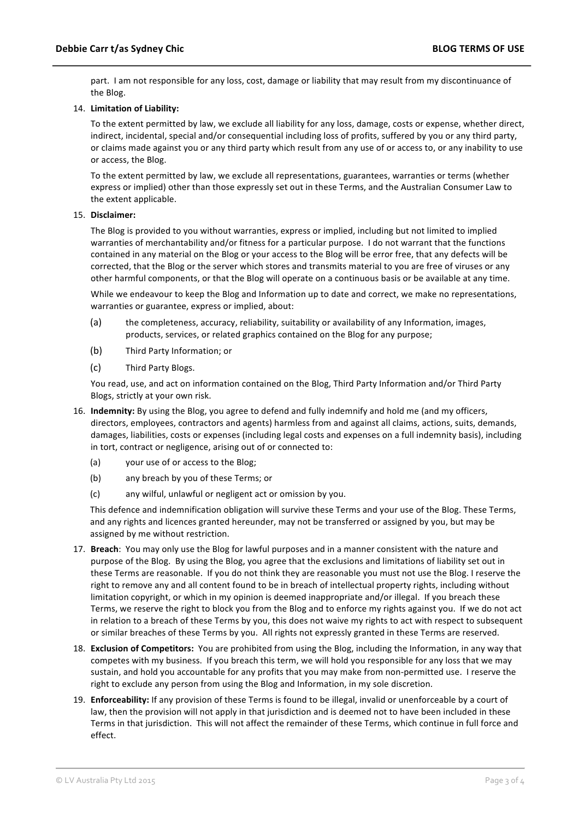part. I am not responsible for any loss, cost, damage or liability that may result from my discontinuance of the Blog.

# 14. Limitation of Liability:

To the extent permitted by law, we exclude all liability for any loss, damage, costs or expense, whether direct, indirect, incidental, special and/or consequential including loss of profits, suffered by you or any third party, or claims made against you or any third party which result from any use of or access to, or any inability to use or access, the Blog.

To the extent permitted by law, we exclude all representations, guarantees, warranties or terms (whether express or implied) other than those expressly set out in these Terms, and the Australian Consumer Law to the extent applicable.

## 15. **Disclaimer:**

The Blog is provided to you without warranties, express or implied, including but not limited to implied warranties of merchantability and/or fitness for a particular purpose. I do not warrant that the functions contained in any material on the Blog or your access to the Blog will be error free, that any defects will be corrected, that the Blog or the server which stores and transmits material to you are free of viruses or any other harmful components, or that the Blog will operate on a continuous basis or be available at any time.

While we endeavour to keep the Blog and Information up to date and correct, we make no representations, warranties or guarantee, express or implied, about:

- (a) the completeness, accuracy, reliability, suitability or availability of any Information, images, products, services, or related graphics contained on the Blog for any purpose;
- (b) Third Party Information; or
- (c) Third Party Blogs.

You read, use, and act on information contained on the Blog, Third Party Information and/or Third Party Blogs, strictly at your own risk.

- 16. **Indemnity:** By using the Blog, you agree to defend and fully indemnify and hold me (and my officers, directors, employees, contractors and agents) harmless from and against all claims, actions, suits, demands, damages, liabilities, costs or expenses (including legal costs and expenses on a full indemnity basis), including in tort, contract or negligence, arising out of or connected to:
	- (a) your use of or access to the Blog;
	- (b) any breach by you of these Terms; or
	- (c) any wilful, unlawful or negligent act or omission by you.

This defence and indemnification obligation will survive these Terms and your use of the Blog. These Terms, and any rights and licences granted hereunder, may not be transferred or assigned by you, but may be assigned by me without restriction.

- 17. Breach: You may only use the Blog for lawful purposes and in a manner consistent with the nature and purpose of the Blog. By using the Blog, you agree that the exclusions and limitations of liability set out in these Terms are reasonable. If you do not think they are reasonable you must not use the Blog. I reserve the right to remove any and all content found to be in breach of intellectual property rights, including without limitation copyright, or which in my opinion is deemed inappropriate and/or illegal. If you breach these Terms, we reserve the right to block you from the Blog and to enforce my rights against you. If we do not act in relation to a breach of these Terms by you, this does not waive my rights to act with respect to subsequent or similar breaches of these Terms by you. All rights not expressly granted in these Terms are reserved.
- 18. **Exclusion of Competitors:** You are prohibited from using the Blog, including the Information, in any way that competes with my business. If you breach this term, we will hold you responsible for any loss that we may sustain, and hold you accountable for any profits that you may make from non-permitted use. I reserve the right to exclude any person from using the Blog and Information, in my sole discretion.
- 19. **Enforceability:** If any provision of these Terms is found to be illegal, invalid or unenforceable by a court of law, then the provision will not apply in that jurisdiction and is deemed not to have been included in these Terms in that jurisdiction. This will not affect the remainder of these Terms, which continue in full force and effect.